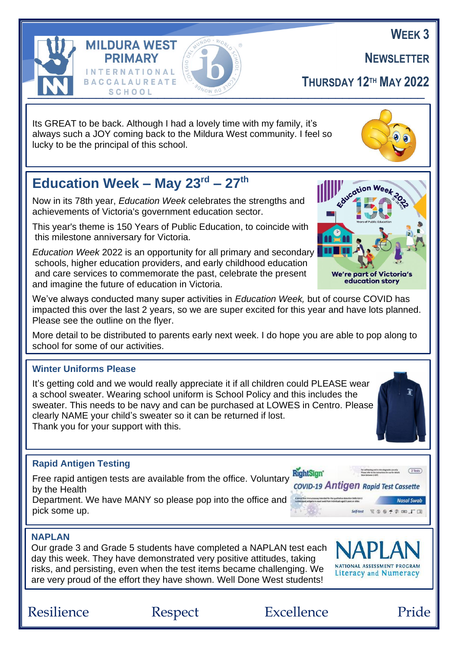**NEWSLETTER**

**THURSDAY 12TH MAY 2022**

Its GREAT to be back. Although I had a lovely time with my family, it's always such a JOY coming back to the Mildura West community. I feel so lucky to be the principal of this school.

## **Education Week – May 23rd – 27th**

**INTERNATIONAL** 

**BACCALAUREATE** 

**MILDURA WEST PRIMARY** 

Now in its 78th year, *Education Week* celebrates the strengths and achievements of Victoria's government education sector.

This year's theme is 150 Years of Public Education, to coincide with this milestone anniversary for Victoria.

*Education Week* 2022 is an opportunity for all primary and secondary schools, higher education providers, and early childhood education and care services to commemorate the past, celebrate the present and imagine the future of education in Victoria.

We've always conducted many super activities in *Education Week,* but of course COVID has impacted this over the last 2 years, so we are super excited for this year and have lots planned. Please see the outline on the flyer.

More detail to be distributed to parents early next week. I do hope you are able to pop along to school for some of our activities.

#### **Winter Uniforms Please**

It's getting cold and we would really appreciate it if all children could PLEASE wear a school sweater. Wearing school uniform is School Policy and this includes the sweater. This needs to be navy and can be purchased at LOWES in Centro. Please clearly NAME your child's sweater so it can be returned if lost. Thank you for your support with this.

#### **Rapid Antigen Testing**

Free rapid antigen tests are available from the office. Voluntary **RightSign'**<br>by the Heelth strongential covid-19 Antigen Rapid Test Cassette by the Health Department. We have MANY so please pop into the office and pick some up.

#### **NAPLAN**

l,

Our grade 3 and Grade 5 students have completed a NAPLAN test each day this week. They have demonstrated very positive attitudes, taking risks, and persisting, even when the test items became challenging. We are very proud of the effort they have shown. Well Done West students!



Nasal Swab 9 チネ m T 国

Resilience Respect Excellence Pride







**WEEK 3**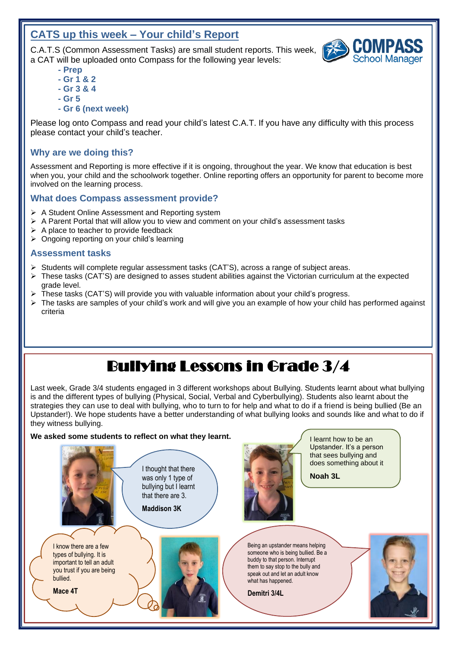#### **CATS up this week – Your child's Report**

 a CAT will be uploaded onto Compass for the following year levels: C.A.T.S (Common Assessment Tasks) are small student reports. This week,

- **- Prep**
- **- Gr 1 & 2**
- **- Gr 3 & 4**
- **- Gr 5**
- **- Gr 6 (next week)**

Please log onto Compass and read your child's latest C.A.T. If you have any difficulty with this process please contact your child's teacher.

#### **Why are we doing this?**

 involved on the learning process. Assessment and Reporting is more effective if it is ongoing, throughout the year. We know that education is best when you, your child and the schoolwork together. Online reporting offers an opportunity for parent to become more

#### **What does Compass assessment provide?**

- ➢ A Student Online Assessment and Reporting system
- $\triangleright$  A Parent Portal that will allow you to view and comment on your child's assessment tasks
- $\triangleright$  A place to teacher to provide feedback
- ➢ Ongoing reporting on your child's learning

#### **Assessment tasks**

 $\overline{a}$ Ï

֦

- ➢ Students will complete regular assessment tasks (CAT'S), across a range of subject areas.
- ➢ These tasks (CAT'S) are designed to asses student abilities against the Victorian curriculum at the expected grade level.
- ➢ These tasks (CAT'S) will provide you with valuable information about your child's progress.
- $\triangleright$  The tasks are samples of your child's work and will give you an example of how your child has performed against criteria

## Bullying Lessons in Grade 3/4

Last week, Grade 3/4 students engaged in 3 different workshops about Bullying. Students learnt about what bullying is and the different types of bullying (Physical, Social, Verbal and Cyberbullying). Students also learnt about the strategies they can use to deal with bullying, who to turn to for help and what to do if a friend is being bullied (Be an Upstander!). We hope students have a better understanding of what bullying looks and sounds like and what to do if they witness bullying.

#### **We asked some students to reflect on what they learnt.**



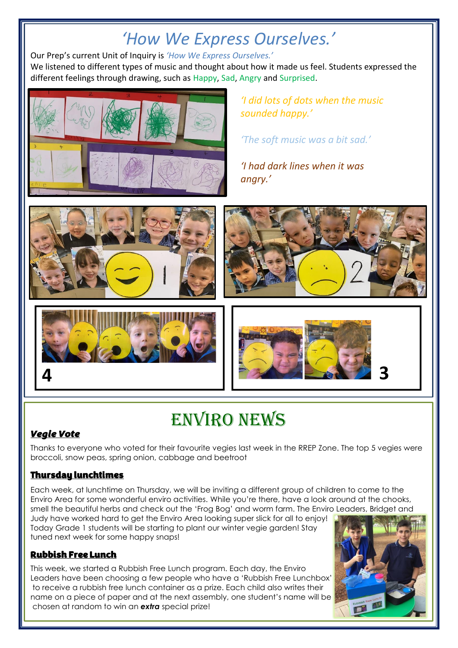## *'How We Express Ourselves.'*

Our Prep's current Unit of Inquiry is *'How We Express Ourselves.'*

We listened to different types of music and thought about how it made us feel. Students expressed the different feelings through drawing, such as Happy, Sad, Angry and Surprised.



*'I did lots of dots when the music sounded happy.'*

*'The soft music was a bit sad.'*

*'I had dark lines when it was angry.'*









# Enviro News

#### *Vegie Vote*

֚֚֬

Thanks to everyone who voted for their favourite vegies last week in the RREP Zone. The top 5 vegies were broccoli, snow peas, spring onion, cabbage and beetroot

#### Thursday lunchtimes

Each week, at lunchtime on Thursday, we will be inviting a different group of children to come to the Enviro Area for some wonderful enviro activities. While you're there, have a look around at the chooks, smell the beautiful herbs and check out the 'Frog Bog' and worm farm. The Enviro Leaders, Bridget and

Judy have worked hard to get the Enviro Area looking super slick for all to enjoy! Today Grade 1 students will be starting to plant our winter vegie garden! Stay tuned next week for some happy snaps!

#### Rubbish Free Lunch

This week, we started a Rubbish Free Lunch program. Each day, the Enviro Leaders have been choosing a few people who have a 'Rubbish Free Lunchbox' to receive a rubbish free lunch container as a prize. Each child also writes their name on a piece of paper and at the next assembly, one student's name will be chosen at random to win an *extra* special prize!